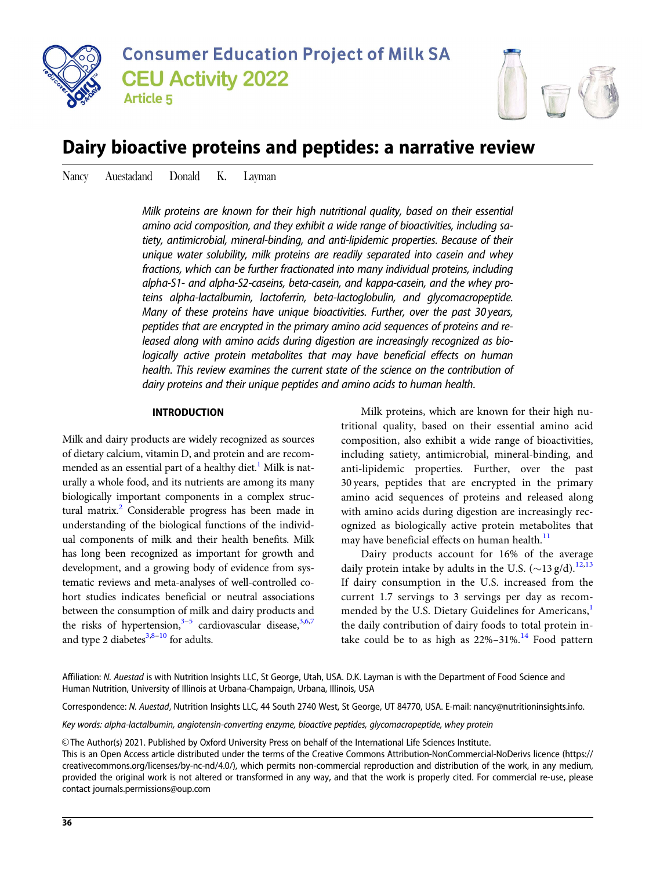



# Dairy bioactive proteins and peptides: a narrative review

Nancy Auestadand Donald K. Layman

Milk proteins are known for their high nutritional quality, based on their essential amino acid composition, and they exhibit a wide range of bioactivities, including satiety, antimicrobial, mineral-binding, and anti-lipidemic properties. Because of their unique water solubility, milk proteins are readily separated into casein and whey fractions, which can be further fractionated into many individual proteins, including alpha-S1- and alpha-S2-caseins, beta-casein, and kappa-casein, and the whey proteins alpha-lactalbumin, lactoferrin, beta-lactoglobulin, and glycomacropeptide. Many of these proteins have unique bioactivities. Further, over the past 30 years, peptides that are encrypted in the primary amino acid sequences of proteins and released along with amino acids during digestion are increasingly recognized as biologically active protein metabolites that may have beneficial effects on human health. This review examines the current state of the science on the contribution of dairy proteins and their unique peptides and amino acids to human health.

### INTRODUCTION

Milk and dairy products are widely recognized as sources of dietary calcium, vitamin D, and protein and are recommended as an essential part of a healthy diet.<sup>1</sup> Milk is naturally a whole food, and its nutrients are among its many biologically important components in a complex struc-tural matrix.<sup>[2](#page-9-0)</sup> Considerable progress has been made in understanding of the biological functions of the individual components of milk and their health benefits. Milk has long been recognized as important for growth and development, and a growing body of evidence from systematic reviews and meta-analyses of well-controlled cohort studies indicates beneficial or neutral associations between the consumption of milk and dairy products and the risks of hypertension,  $3-5$  cardiovascular disease,  $3,6,7$ and type 2 diabetes $3,8-10$  for adults.

Milk proteins, which are known for their high nutritional quality, based on their essential amino acid composition, also exhibit a wide range of bioactivities, including satiety, antimicrobial, mineral-binding, and anti-lipidemic properties. Further, over the past 30 years, peptides that are encrypted in the primary amino acid sequences of proteins and released along with amino acids during digestion are increasingly recognized as biologically active protein metabolites that may have beneficial effects on human health.<sup>[11](#page-9-0)</sup>

Dairy products account for 16% of the average daily protein intake by adults in the U.S.  $({\sim}13 \text{ g/d})$ .<sup>[12,13](#page-9-0)</sup> If dairy consumption in the U.S. increased from the current 1.7 servings to 3 servings per day as recommended by the U.S. Dietary Guidelines for Americans,<sup>1</sup> the daily contribution of dairy foods to total protein intake could be to as high as  $22\% - 31\%$ .<sup>[14](#page-9-0)</sup> Food pattern

Affiliation: N. Auestad is with Nutrition Insights LLC, St George, Utah, USA. D.K. Layman is with the Department of Food Science and Human Nutrition, University of Illinois at Urbana-Champaign, Urbana, Illinois, USA

Correspondence: N. Auestad, Nutrition Insights LLC, 44 South 2740 West, St George, UT 84770, USA. E-mail: nancy@nutritioninsights.info.

Key words: alpha-lactalbumin, angiotensin-converting enzyme, bioactive peptides, glycomacropeptide, whey protein

V<sup>C</sup> The Author(s) 2021. Published by Oxford University Press on behalf of the International Life Sciences Institute.

This is an Open Access article distributed under the terms of the Creative Commons Attribution-NonCommercial-NoDerivs licence (https:// creativecommons.org/licenses/by-nc-nd/4.0/), which permits non-commercial reproduction and distribution of the work, in any medium, provided the original work is not altered or transformed in any way, and that the work is properly cited. For commercial re-use, please contact journals.permissions@oup.com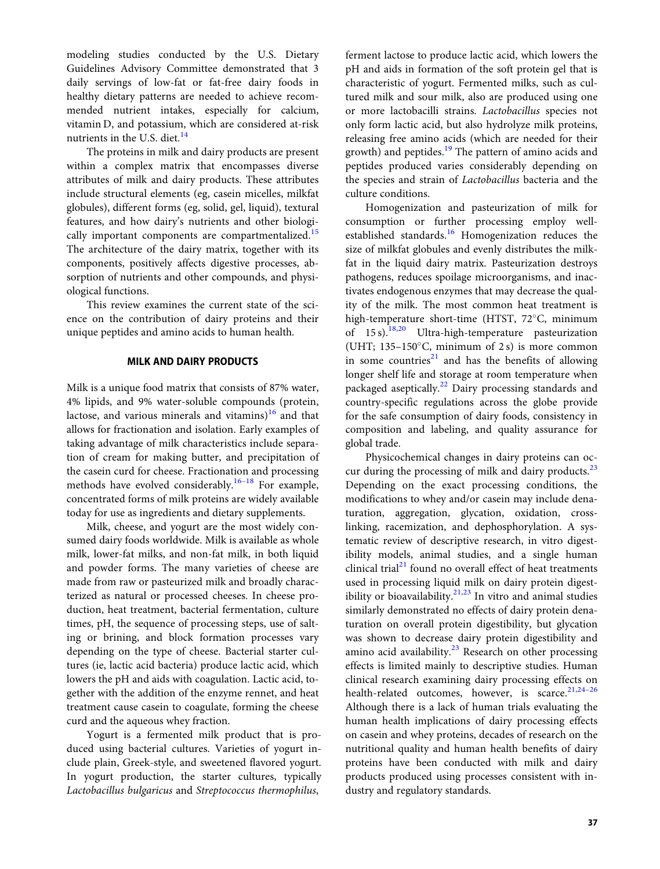modeling studies conducted by the U.S. Dietary Guidelines Advisory Committee demonstrated that 3 daily servings of low-fat or fat-free dairy foods in healthy dietary patterns are needed to achieve recommended nutrient intakes, especially for calcium, vitamin D, and potassium, which are considered at-risk nutrients in the U.S. diet.<sup>[14](#page-9-0)</sup>

The proteins in milk and dairy products are present within a complex matrix that encompasses diverse attributes of milk and dairy products. These attributes include structural elements (eg, casein micelles, milkfat globules), different forms (eg, solid, gel, liquid), textural features, and how dairy's nutrients and other biologi-cally important components are compartmentalized.<sup>[15](#page-9-0)</sup> The architecture of the dairy matrix, together with its components, positively affects digestive processes, absorption of nutrients and other compounds, and physiological functions.

This review examines the current state of the science on the contribution of dairy proteins and their unique peptides and amino acids to human health.

## MILK AND DAIRY PRODUCTS

Milk is a unique food matrix that consists of 87% water, 4% lipids, and 9% water-soluble compounds (protein, lactose, and various minerals and vitamins) $16$  and that allows for fractionation and isolation. Early examples of taking advantage of milk characteristics include separation of cream for making butter, and precipitation of the casein curd for cheese. Fractionation and processing methods have evolved considerably.<sup>[16–18](#page-9-0)</sup> For example, concentrated forms of milk proteins are widely available today for use as ingredients and dietary supplements.

Milk, cheese, and yogurt are the most widely consumed dairy foods worldwide. Milk is available as whole milk, lower-fat milks, and non-fat milk, in both liquid and powder forms. The many varieties of cheese are made from raw or pasteurized milk and broadly characterized as natural or processed cheeses. In cheese production, heat treatment, bacterial fermentation, culture times, pH, the sequence of processing steps, use of salting or brining, and block formation processes vary depending on the type of cheese. Bacterial starter cultures (ie, lactic acid bacteria) produce lactic acid, which lowers the pH and aids with coagulation. Lactic acid, together with the addition of the enzyme rennet, and heat treatment cause casein to coagulate, forming the cheese curd and the aqueous whey fraction.

Yogurt is a fermented milk product that is produced using bacterial cultures. Varieties of yogurt include plain, Greek-style, and sweetened flavored yogurt. In yogurt production, the starter cultures, typically Lactobacillus bulgaricus and Streptococcus thermophilus,

ferment lactose to produce lactic acid, which lowers the pH and aids in formation of the soft protein gel that is characteristic of yogurt. Fermented milks, such as cultured milk and sour milk, also are produced using one or more lactobacilli strains. Lactobacillus species not only form lactic acid, but also hydrolyze milk proteins, releasing free amino acids (which are needed for their growth) and peptides.<sup>[19](#page-9-0)</sup> The pattern of amino acids and peptides produced varies considerably depending on the species and strain of Lactobacillus bacteria and the culture conditions.

Homogenization and pasteurization of milk for consumption or further processing employ well-established standards.<sup>[16](#page-9-0)</sup> Homogenization reduces the size of milkfat globules and evenly distributes the milkfat in the liquid dairy matrix. Pasteurization destroys pathogens, reduces spoilage microorganisms, and inactivates endogenous enzymes that may decrease the quality of the milk. The most common heat treatment is high-temperature short-time (HTST, 72°C, minimum of  $15 \text{ s}$ .<sup>[18,20](#page-9-0)</sup> Ultra-high-temperature pasteurization (UHT;  $135-150^{\circ}$ C, minimum of 2 s) is more common in some countries<sup>[21](#page-9-0)</sup> and has the benefits of allowing longer shelf life and storage at room temperature when packaged aseptically.<sup>[22](#page-9-0)</sup> Dairy processing standards and country-specific regulations across the globe provide for the safe consumption of dairy foods, consistency in composition and labeling, and quality assurance for global trade.

Physicochemical changes in dairy proteins can occur during the processing of milk and dairy products. $^{23}$  $^{23}$  $^{23}$ Depending on the exact processing conditions, the modifications to whey and/or casein may include denaturation, aggregation, glycation, oxidation, crosslinking, racemization, and dephosphorylation. A systematic review of descriptive research, in vitro digestibility models, animal studies, and a single human clinical trial $21$  found no overall effect of heat treatments used in processing liquid milk on dairy protein digestibility or bioavailability. $21,23$  $21,23$  $21,23$  In vitro and animal studies similarly demonstrated no effects of dairy protein denaturation on overall protein digestibility, but glycation was shown to decrease dairy protein digestibility and amino acid availability. $^{23}$  $^{23}$  $^{23}$  Research on other processing effects is limited mainly to descriptive studies. Human clinical research examining dairy processing effects on health-related outcomes, however, is scarce.<sup>21,24-26</sup> Although there is a lack of human trials evaluating the human health implications of dairy processing effects on casein and whey proteins, decades of research on the nutritional quality and human health benefits of dairy proteins have been conducted with milk and dairy products produced using processes consistent with industry and regulatory standards.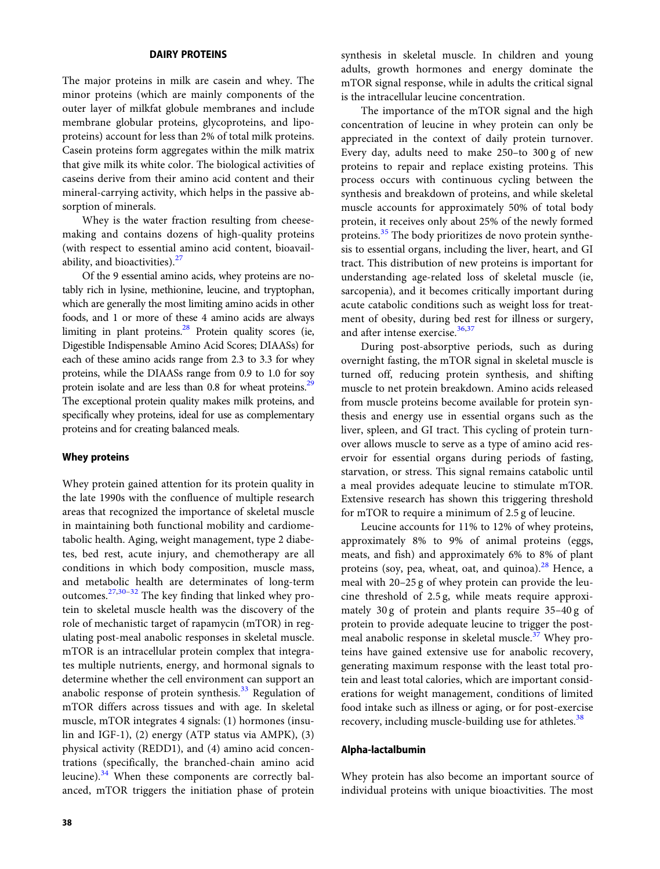#### DAIRY PROTEINS

The major proteins in milk are casein and whey. The minor proteins (which are mainly components of the outer layer of milkfat globule membranes and include membrane globular proteins, glycoproteins, and lipoproteins) account for less than 2% of total milk proteins. Casein proteins form aggregates within the milk matrix that give milk its white color. The biological activities of caseins derive from their amino acid content and their mineral-carrying activity, which helps in the passive absorption of minerals.

Whey is the water fraction resulting from cheesemaking and contains dozens of high-quality proteins (with respect to essential amino acid content, bioavail-ability, and bioactivities).<sup>[27](#page-9-0)</sup>

Of the 9 essential amino acids, whey proteins are notably rich in lysine, methionine, leucine, and tryptophan, which are generally the most limiting amino acids in other foods, and 1 or more of these 4 amino acids are always limiting in plant proteins. $28$  Protein quality scores (ie, Digestible Indispensable Amino Acid Scores; DIAASs) for each of these amino acids range from 2.3 to 3.3 for whey proteins, while the DIAASs range from 0.9 to 1.0 for soy protein isolate and are less than 0.8 for wheat proteins.<sup>29</sup> The exceptional protein quality makes milk proteins, and specifically whey proteins, ideal for use as complementary proteins and for creating balanced meals.

#### Whey proteins

Whey protein gained attention for its protein quality in the late 1990s with the confluence of multiple research areas that recognized the importance of skeletal muscle in maintaining both functional mobility and cardiometabolic health. Aging, weight management, type 2 diabetes, bed rest, acute injury, and chemotherapy are all conditions in which body composition, muscle mass, and metabolic health are determinates of long-term outcomes.[27,30](#page-9-0)[–32](#page-10-0) The key finding that linked whey protein to skeletal muscle health was the discovery of the role of mechanistic target of rapamycin (mTOR) in regulating post-meal anabolic responses in skeletal muscle. mTOR is an intracellular protein complex that integrates multiple nutrients, energy, and hormonal signals to determine whether the cell environment can support an anabolic response of protein synthesis. $33$  Regulation of mTOR differs across tissues and with age. In skeletal muscle, mTOR integrates 4 signals: (1) hormones (insulin and IGF-1), (2) energy (ATP status via AMPK), (3) physical activity (REDD1), and (4) amino acid concentrations (specifically, the branched-chain amino acid leucine).<sup>[34](#page-10-0)</sup> When these components are correctly balanced, mTOR triggers the initiation phase of protein

synthesis in skeletal muscle. In children and young adults, growth hormones and energy dominate the mTOR signal response, while in adults the critical signal is the intracellular leucine concentration.

The importance of the mTOR signal and the high concentration of leucine in whey protein can only be appreciated in the context of daily protein turnover. Every day, adults need to make 250–to 300 g of new proteins to repair and replace existing proteins. This process occurs with continuous cycling between the synthesis and breakdown of proteins, and while skeletal muscle accounts for approximately 50% of total body protein, it receives only about 25% of the newly formed proteins.<sup>[35](#page-10-0)</sup> The body prioritizes de novo protein synthesis to essential organs, including the liver, heart, and GI tract. This distribution of new proteins is important for understanding age-related loss of skeletal muscle (ie, sarcopenia), and it becomes critically important during acute catabolic conditions such as weight loss for treatment of obesity, during bed rest for illness or surgery, and after intense exercise.<sup>[36,37](#page-10-0)</sup>

During post-absorptive periods, such as during overnight fasting, the mTOR signal in skeletal muscle is turned off, reducing protein synthesis, and shifting muscle to net protein breakdown. Amino acids released from muscle proteins become available for protein synthesis and energy use in essential organs such as the liver, spleen, and GI tract. This cycling of protein turnover allows muscle to serve as a type of amino acid reservoir for essential organs during periods of fasting, starvation, or stress. This signal remains catabolic until a meal provides adequate leucine to stimulate mTOR. Extensive research has shown this triggering threshold for mTOR to require a minimum of 2.5 g of leucine.

Leucine accounts for 11% to 12% of whey proteins, approximately 8% to 9% of animal proteins (eggs, meats, and fish) and approximately 6% to 8% of plant proteins (soy, pea, wheat, oat, and quinoa). $28$  Hence, a meal with 20–25 g of whey protein can provide the leucine threshold of 2.5 g, while meats require approximately 30 g of protein and plants require 35–40 g of protein to provide adequate leucine to trigger the post-meal anabolic response in skeletal muscle.<sup>[37](#page-10-0)</sup> Whey proteins have gained extensive use for anabolic recovery, generating maximum response with the least total protein and least total calories, which are important considerations for weight management, conditions of limited food intake such as illness or aging, or for post-exercise recovery, including muscle-building use for athletes.<sup>[38](#page-10-0)</sup>

#### Alpha-lactalbumin

Whey protein has also become an important source of individual proteins with unique bioactivities. The most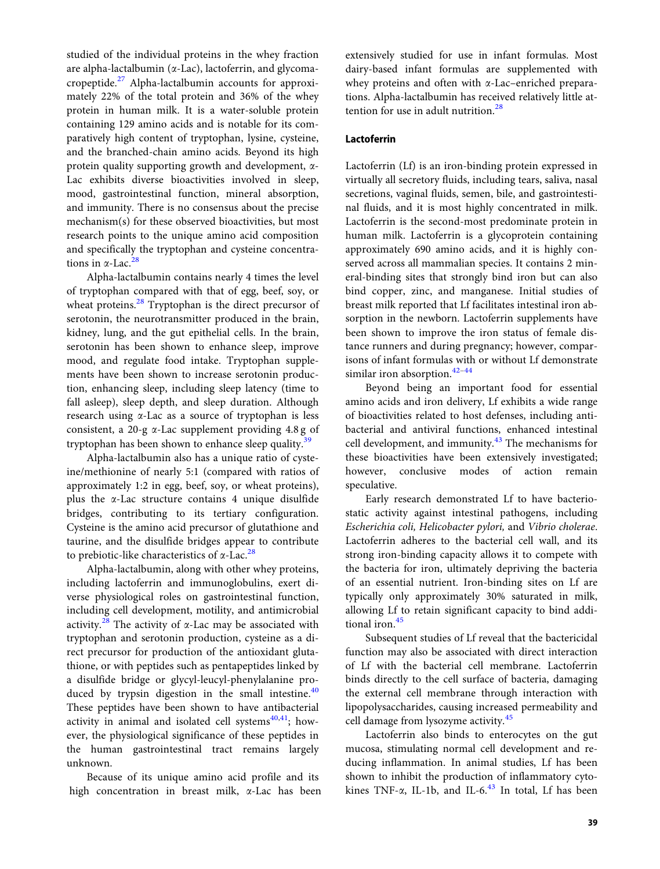studied of the individual proteins in the whey fraction are alpha-lactalbumin ( $\alpha$ -Lac), lactoferrin, and glycomacropeptide.[27](#page-9-0) Alpha-lactalbumin accounts for approximately 22% of the total protein and 36% of the whey protein in human milk. It is a water-soluble protein containing 129 amino acids and is notable for its comparatively high content of tryptophan, lysine, cysteine, and the branched-chain amino acids. Beyond its high protein quality supporting growth and development, a-Lac exhibits diverse bioactivities involved in sleep, mood, gastrointestinal function, mineral absorption, and immunity. There is no consensus about the precise mechanism(s) for these observed bioactivities, but most research points to the unique amino acid composition and specifically the tryptophan and cysteine concentrations in  $\alpha$ -Lac.<sup>[28](#page-9-0)</sup>

Alpha-lactalbumin contains nearly 4 times the level of tryptophan compared with that of egg, beef, soy, or wheat proteins.<sup>[28](#page-9-0)</sup> Tryptophan is the direct precursor of serotonin, the neurotransmitter produced in the brain, kidney, lung, and the gut epithelial cells. In the brain, serotonin has been shown to enhance sleep, improve mood, and regulate food intake. Tryptophan supplements have been shown to increase serotonin production, enhancing sleep, including sleep latency (time to fall asleep), sleep depth, and sleep duration. Although research using a-Lac as a source of tryptophan is less consistent, a 20-g  $\alpha$ -Lac supplement providing 4.8 g of tryptophan has been shown to enhance sleep quality.<sup>[39](#page-10-0)</sup>

Alpha-lactalbumin also has a unique ratio of cysteine/methionine of nearly 5:1 (compared with ratios of approximately 1:2 in egg, beef, soy, or wheat proteins), plus the  $\alpha$ -Lac structure contains 4 unique disulfide bridges, contributing to its tertiary configuration. Cysteine is the amino acid precursor of glutathione and taurine, and the disulfide bridges appear to contribute to prebiotic-like characteristics of  $\alpha$ -Lac.<sup>[28](#page-9-0)</sup>

Alpha-lactalbumin, along with other whey proteins, including lactoferrin and immunoglobulins, exert diverse physiological roles on gastrointestinal function, including cell development, motility, and antimicrobial activity.<sup>[28](#page-9-0)</sup> The activity of  $\alpha$ -Lac may be associated with tryptophan and serotonin production, cysteine as a direct precursor for production of the antioxidant glutathione, or with peptides such as pentapeptides linked by a disulfide bridge or glycyl-leucyl-phenylalanine produced by trypsin digestion in the small intestine. $40$ These peptides have been shown to have antibacterial activity in animal and isolated cell systems<sup>[40,41](#page-10-0)</sup>; however, the physiological significance of these peptides in the human gastrointestinal tract remains largely unknown.

Because of its unique amino acid profile and its high concentration in breast milk, a-Lac has been extensively studied for use in infant formulas. Most dairy-based infant formulas are supplemented with whey proteins and often with  $\alpha$ -Lac-enriched preparations. Alpha-lactalbumin has received relatively little at-tention for use in adult nutrition.<sup>[28](#page-9-0)</sup>

## Lactoferrin

Lactoferrin (Lf) is an iron-binding protein expressed in virtually all secretory fluids, including tears, saliva, nasal secretions, vaginal fluids, semen, bile, and gastrointestinal fluids, and it is most highly concentrated in milk. Lactoferrin is the second-most predominate protein in human milk. Lactoferrin is a glycoprotein containing approximately 690 amino acids, and it is highly conserved across all mammalian species. It contains 2 mineral-binding sites that strongly bind iron but can also bind copper, zinc, and manganese. Initial studies of breast milk reported that Lf facilitates intestinal iron absorption in the newborn. Lactoferrin supplements have been shown to improve the iron status of female distance runners and during pregnancy; however, comparisons of infant formulas with or without Lf demonstrate similar iron absorption.<sup>[42](#page-10-0)-[44](#page-10-0)</sup>

Beyond being an important food for essential amino acids and iron delivery, Lf exhibits a wide range of bioactivities related to host defenses, including antibacterial and antiviral functions, enhanced intestinal cell development, and immunity.<sup>[43](#page-10-0)</sup> The mechanisms for these bioactivities have been extensively investigated; however, conclusive modes of action remain speculative.

Early research demonstrated Lf to have bacteriostatic activity against intestinal pathogens, including Escherichia coli, Helicobacter pylori, and Vibrio cholerae. Lactoferrin adheres to the bacterial cell wall, and its strong iron-binding capacity allows it to compete with the bacteria for iron, ultimately depriving the bacteria of an essential nutrient. Iron-binding sites on Lf are typically only approximately 30% saturated in milk, allowing Lf to retain significant capacity to bind addi-tional iron.<sup>[45](#page-10-0)</sup>

Subsequent studies of Lf reveal that the bactericidal function may also be associated with direct interaction of Lf with the bacterial cell membrane. Lactoferrin binds directly to the cell surface of bacteria, damaging the external cell membrane through interaction with lipopolysaccharides, causing increased permeability and cell damage from lysozyme activity.<sup>[45](#page-10-0)</sup>

Lactoferrin also binds to enterocytes on the gut mucosa, stimulating normal cell development and reducing inflammation. In animal studies, Lf has been shown to inhibit the production of inflammatory cytokines TNF- $\alpha$ , IL-1b, and IL-6.<sup>[43](#page-10-0)</sup> In total, Lf has been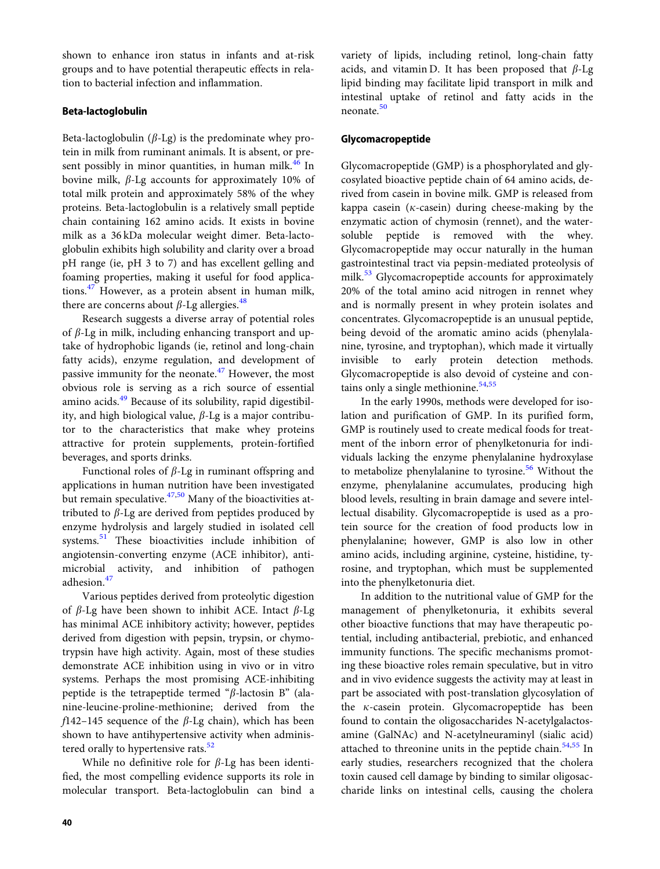shown to enhance iron status in infants and at-risk groups and to have potential therapeutic effects in relation to bacterial infection and inflammation.

## Beta-lactoglobulin

Beta-lactoglobulin ( $\beta$ -Lg) is the predominate whey protein in milk from ruminant animals. It is absent, or present possibly in minor quantities, in human milk. $46$  In bovine milk,  $\beta$ -Lg accounts for approximately 10% of total milk protein and approximately 58% of the whey proteins. Beta-lactoglobulin is a relatively small peptide chain containing 162 amino acids. It exists in bovine milk as a 36 kDa molecular weight dimer. Beta-lactoglobulin exhibits high solubility and clarity over a broad pH range (ie, pH 3 to 7) and has excellent gelling and foaming properties, making it useful for food applications.[47](#page-10-0) However, as a protein absent in human milk, there are concerns about  $\beta$ -Lg allergies.<sup>48</sup>

Research suggests a diverse array of potential roles of  $\beta$ -Lg in milk, including enhancing transport and uptake of hydrophobic ligands (ie, retinol and long-chain fatty acids), enzyme regulation, and development of passive immunity for the neonate. $47$  However, the most obvious role is serving as a rich source of essential amino acids.<sup>[49](#page-10-0)</sup> Because of its solubility, rapid digestibility, and high biological value,  $\beta$ -Lg is a major contributor to the characteristics that make whey proteins attractive for protein supplements, protein-fortified beverages, and sports drinks.

Functional roles of  $\beta$ -Lg in ruminant offspring and applications in human nutrition have been investigated but remain speculative. $47,50$  Many of the bioactivities attributed to  $\beta$ -Lg are derived from peptides produced by enzyme hydrolysis and largely studied in isolated cell systems.<sup>[51](#page-10-0)</sup> These bioactivities include inhibition of angiotensin-converting enzyme (ACE inhibitor), antimicrobial activity, and inhibition of pathogen adhesion.<sup>[47](#page-10-0)</sup>

Various peptides derived from proteolytic digestion of  $\beta$ -Lg have been shown to inhibit ACE. Intact  $\beta$ -Lg has minimal ACE inhibitory activity; however, peptides derived from digestion with pepsin, trypsin, or chymotrypsin have high activity. Again, most of these studies demonstrate ACE inhibition using in vivo or in vitro systems. Perhaps the most promising ACE-inhibiting peptide is the tetrapeptide termed " $\beta$ -lactosin B" (alanine-leucine-proline-methionine; derived from the  $f142-145$  sequence of the  $\beta$ -Lg chain), which has been shown to have antihypertensive activity when adminis-tered orally to hypertensive rats.<sup>[52](#page-10-0)</sup>

While no definitive role for  $\beta$ -Lg has been identified, the most compelling evidence supports its role in molecular transport. Beta-lactoglobulin can bind a variety of lipids, including retinol, long-chain fatty acids, and vitamin D. It has been proposed that  $\beta$ -Lg lipid binding may facilitate lipid transport in milk and intestinal uptake of retinol and fatty acids in the neonate.<sup>[50](#page-10-0)</sup>

## Glycomacropeptide

Glycomacropeptide (GMP) is a phosphorylated and glycosylated bioactive peptide chain of 64 amino acids, derived from casein in bovine milk. GMP is released from kappa casein ( $\kappa$ -casein) during cheese-making by the enzymatic action of chymosin (rennet), and the watersoluble peptide is removed with the whey. Glycomacropeptide may occur naturally in the human gastrointestinal tract via pepsin-mediated proteolysis of milk.<sup>[53](#page-10-0)</sup> Glycomacropeptide accounts for approximately 20% of the total amino acid nitrogen in rennet whey and is normally present in whey protein isolates and concentrates. Glycomacropeptide is an unusual peptide, being devoid of the aromatic amino acids (phenylalanine, tyrosine, and tryptophan), which made it virtually invisible to early protein detection methods. Glycomacropeptide is also devoid of cysteine and con-tains only a single methionine.<sup>[54,55](#page-10-0)</sup>

In the early 1990s, methods were developed for isolation and purification of GMP. In its purified form, GMP is routinely used to create medical foods for treatment of the inborn error of phenylketonuria for individuals lacking the enzyme phenylalanine hydroxylase to metabolize phenylalanine to tyrosine.<sup>[56](#page-10-0)</sup> Without the enzyme, phenylalanine accumulates, producing high blood levels, resulting in brain damage and severe intellectual disability. Glycomacropeptide is used as a protein source for the creation of food products low in phenylalanine; however, GMP is also low in other amino acids, including arginine, cysteine, histidine, tyrosine, and tryptophan, which must be supplemented into the phenylketonuria diet.

In addition to the nutritional value of GMP for the management of phenylketonuria, it exhibits several other bioactive functions that may have therapeutic potential, including antibacterial, prebiotic, and enhanced immunity functions. The specific mechanisms promoting these bioactive roles remain speculative, but in vitro and in vivo evidence suggests the activity may at least in part be associated with post-translation glycosylation of the  $\kappa$ -casein protein. Glycomacropeptide has been found to contain the oligosaccharides N-acetylgalactosamine (GalNAc) and N-acetylneuraminyl (sialic acid) attached to threonine units in the peptide chain. $54,55$  In early studies, researchers recognized that the cholera toxin caused cell damage by binding to similar oligosaccharide links on intestinal cells, causing the cholera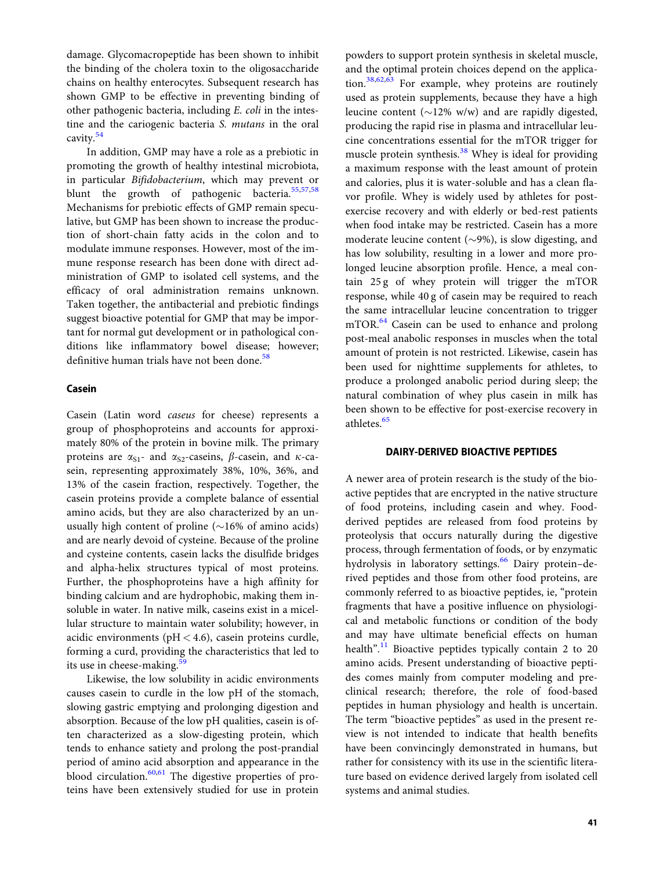damage. Glycomacropeptide has been shown to inhibit the binding of the cholera toxin to the oligosaccharide chains on healthy enterocytes. Subsequent research has shown GMP to be effective in preventing binding of other pathogenic bacteria, including E. coli in the intestine and the cariogenic bacteria S. mutans in the oral cavity.<sup>[54](#page-10-0)</sup>

In addition, GMP may have a role as a prebiotic in promoting the growth of healthy intestinal microbiota, in particular Bifidobacterium, which may prevent or blunt the growth of pathogenic bacteria.<sup>[55](#page-10-0),[57](#page-10-0),[58](#page-10-0)</sup> Mechanisms for prebiotic effects of GMP remain speculative, but GMP has been shown to increase the production of short-chain fatty acids in the colon and to modulate immune responses. However, most of the immune response research has been done with direct administration of GMP to isolated cell systems, and the efficacy of oral administration remains unknown. Taken together, the antibacterial and prebiotic findings suggest bioactive potential for GMP that may be important for normal gut development or in pathological conditions like inflammatory bowel disease; however; definitive human trials have not been done.<sup>[58](#page-10-0)</sup>

#### Casein

Casein (Latin word caseus for cheese) represents a group of phosphoproteins and accounts for approximately 80% of the protein in bovine milk. The primary proteins are  $\alpha_{S1}$ - and  $\alpha_{S2}$ -caseins,  $\beta$ -casein, and  $\kappa$ -casein, representing approximately 38%, 10%, 36%, and 13% of the casein fraction, respectively. Together, the casein proteins provide a complete balance of essential amino acids, but they are also characterized by an unusually high content of proline ( $\sim$ 16% of amino acids) and are nearly devoid of cysteine. Because of the proline and cysteine contents, casein lacks the disulfide bridges and alpha-helix structures typical of most proteins. Further, the phosphoproteins have a high affinity for binding calcium and are hydrophobic, making them insoluble in water. In native milk, caseins exist in a micellular structure to maintain water solubility; however, in acidic environments ( $pH < 4.6$ ), casein proteins curdle, forming a curd, providing the characteristics that led to its use in cheese-making.<sup>5</sup>

Likewise, the low solubility in acidic environments causes casein to curdle in the low pH of the stomach, slowing gastric emptying and prolonging digestion and absorption. Because of the low pH qualities, casein is often characterized as a slow-digesting protein, which tends to enhance satiety and prolong the post-prandial period of amino acid absorption and appearance in the blood circulation. $60,61$  $60,61$  $60,61$  The digestive properties of proteins have been extensively studied for use in protein powders to support protein synthesis in skeletal muscle, and the optimal protein choices depend on the application.[38,62,63](#page-10-0) For example, whey proteins are routinely used as protein supplements, because they have a high leucine content ( $\sim$ 12% w/w) and are rapidly digested, producing the rapid rise in plasma and intracellular leucine concentrations essential for the mTOR trigger for muscle protein synthesis.<sup>[38](#page-10-0)</sup> Whey is ideal for providing a maximum response with the least amount of protein and calories, plus it is water-soluble and has a clean flavor profile. Whey is widely used by athletes for postexercise recovery and with elderly or bed-rest patients when food intake may be restricted. Casein has a more moderate leucine content ( $\sim$ 9%), is slow digesting, and has low solubility, resulting in a lower and more prolonged leucine absorption profile. Hence, a meal contain 25 g of whey protein will trigger the mTOR response, while 40 g of casein may be required to reach the same intracellular leucine concentration to trigger mTOR.<sup>64</sup> Casein can be used to enhance and prolong post-meal anabolic responses in muscles when the total amount of protein is not restricted. Likewise, casein has been used for nighttime supplements for athletes, to produce a prolonged anabolic period during sleep; the natural combination of whey plus casein in milk has been shown to be effective for post-exercise recovery in athletes.<sup>[65](#page-10-0)</sup>

#### DAIRY-DERIVED BIOACTIVE PEPTIDES

A newer area of protein research is the study of the bioactive peptides that are encrypted in the native structure of food proteins, including casein and whey. Foodderived peptides are released from food proteins by proteolysis that occurs naturally during the digestive process, through fermentation of foods, or by enzymatic hydrolysis in laboratory settings.<sup>[66](#page-10-0)</sup> Dairy protein-derived peptides and those from other food proteins, are commonly referred to as bioactive peptides, ie, "protein fragments that have a positive influence on physiological and metabolic functions or condition of the body and may have ultimate beneficial effects on human health".<sup>[11](#page-9-0)</sup> Bioactive peptides typically contain 2 to 20 amino acids. Present understanding of bioactive peptides comes mainly from computer modeling and preclinical research; therefore, the role of food-based peptides in human physiology and health is uncertain. The term "bioactive peptides" as used in the present review is not intended to indicate that health benefits have been convincingly demonstrated in humans, but rather for consistency with its use in the scientific literature based on evidence derived largely from isolated cell systems and animal studies.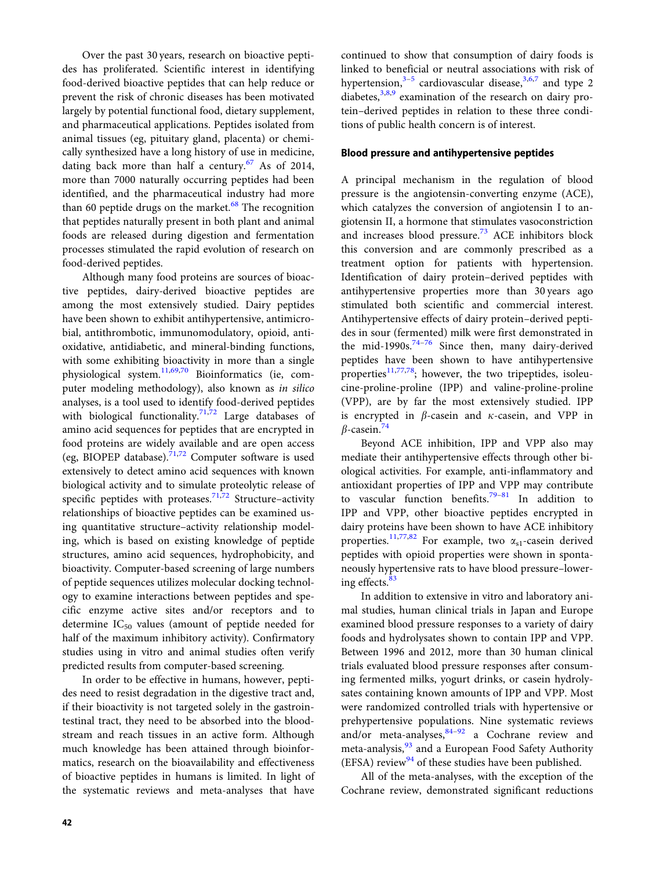Over the past 30 years, research on bioactive peptides has proliferated. Scientific interest in identifying food-derived bioactive peptides that can help reduce or prevent the risk of chronic diseases has been motivated largely by potential functional food, dietary supplement, and pharmaceutical applications. Peptides isolated from animal tissues (eg, pituitary gland, placenta) or chemically synthesized have a long history of use in medicine, dating back more than half a century. $67$  As of 2014, more than 7000 naturally occurring peptides had been identified, and the pharmaceutical industry had more than 60 peptide drugs on the market. $68$  The recognition that peptides naturally present in both plant and animal foods are released during digestion and fermentation processes stimulated the rapid evolution of research on food-derived peptides.

Although many food proteins are sources of bioactive peptides, dairy-derived bioactive peptides are among the most extensively studied. Dairy peptides have been shown to exhibit antihypertensive, antimicrobial, antithrombotic, immunomodulatory, opioid, antioxidative, antidiabetic, and mineral-binding functions, with some exhibiting bioactivity in more than a single physiological system. $\frac{11,69,70}{11,69,70}$  $\frac{11,69,70}{11,69,70}$  $\frac{11,69,70}{11,69,70}$  $\frac{11,69,70}{11,69,70}$  Bioinformatics (ie, computer modeling methodology), also known as in silico analyses, is a tool used to identify food-derived peptides with biological functionality.<sup>71,72</sup> Large databases of amino acid sequences for peptides that are encrypted in food proteins are widely available and are open access (eg, BIOPEP database).<sup>[71,72](#page-10-0)</sup> Computer software is used extensively to detect amino acid sequences with known biological activity and to simulate proteolytic release of specific peptides with proteases.<sup>[71,72](#page-10-0)</sup> Structure–activity relationships of bioactive peptides can be examined using quantitative structure–activity relationship modeling, which is based on existing knowledge of peptide structures, amino acid sequences, hydrophobicity, and bioactivity. Computer-based screening of large numbers of peptide sequences utilizes molecular docking technology to examine interactions between peptides and specific enzyme active sites and/or receptors and to determine  $IC_{50}$  values (amount of peptide needed for half of the maximum inhibitory activity). Confirmatory studies using in vitro and animal studies often verify predicted results from computer-based screening.

In order to be effective in humans, however, peptides need to resist degradation in the digestive tract and, if their bioactivity is not targeted solely in the gastrointestinal tract, they need to be absorbed into the bloodstream and reach tissues in an active form. Although much knowledge has been attained through bioinformatics, research on the bioavailability and effectiveness of bioactive peptides in humans is limited. In light of the systematic reviews and meta-analyses that have

continued to show that consumption of dairy foods is linked to beneficial or neutral associations with risk of hypertension, $3-5$  cardiovascular disease, $3,6,7$  $3,6,7$  and type 2 diabetes,  $3,8,9$  examination of the research on dairy protein–derived peptides in relation to these three conditions of public health concern is of interest.

#### Blood pressure and antihypertensive peptides

A principal mechanism in the regulation of blood pressure is the angiotensin-converting enzyme (ACE), which catalyzes the conversion of angiotensin I to angiotensin II, a hormone that stimulates vasoconstriction and increases blood pressure. $73$  ACE inhibitors block this conversion and are commonly prescribed as a treatment option for patients with hypertension. Identification of dairy protein–derived peptides with antihypertensive properties more than 30 years ago stimulated both scientific and commercial interest. Antihypertensive effects of dairy protein–derived peptides in sour (fermented) milk were first demonstrated in the mid-1990s. $74-76$  $74-76$  $74-76$  Since then, many dairy-derived peptides have been shown to have antihypertensive properties $11,77,78$  $11,77,78$  $11,77,78$  $11,77,78$ ; however, the two tripeptides, isoleucine-proline-proline (IPP) and valine-proline-proline (VPP), are by far the most extensively studied. IPP is encrypted in  $\beta$ -casein and  $\kappa$ -casein, and VPP in  $\beta$ -casein.<sup>[74](#page-10-0)</sup>

Beyond ACE inhibition, IPP and VPP also may mediate their antihypertensive effects through other biological activities. For example, anti-inflammatory and antioxidant properties of IPP and VPP may contribute to vascular function benefits.<sup>79-81</sup> In addition to IPP and VPP, other bioactive peptides encrypted in dairy proteins have been shown to have ACE inhibitory properties.<sup>[11](#page-9-0)[,77,82](#page-10-0)</sup> For example, two  $\alpha_{s1}$ -casein derived peptides with opioid properties were shown in spontaneously hypertensive rats to have blood pressure–lower-ing effects.<sup>[83](#page-10-0)</sup>

In addition to extensive in vitro and laboratory animal studies, human clinical trials in Japan and Europe examined blood pressure responses to a variety of dairy foods and hydrolysates shown to contain IPP and VPP. Between 1996 and 2012, more than 30 human clinical trials evaluated blood pressure responses after consuming fermented milks, yogurt drinks, or casein hydrolysates containing known amounts of IPP and VPP. Most were randomized controlled trials with hypertensive or prehypertensive populations. Nine systematic reviews and/or meta-analyses,  $84-92$  $84-92$  a Cochrane review and meta-analysis,<sup>[93](#page-11-0)</sup> and a European Food Safety Authority (EFSA) review<sup>[94](#page-11-0)</sup> of these studies have been published.

All of the meta-analyses, with the exception of the Cochrane review, demonstrated significant reductions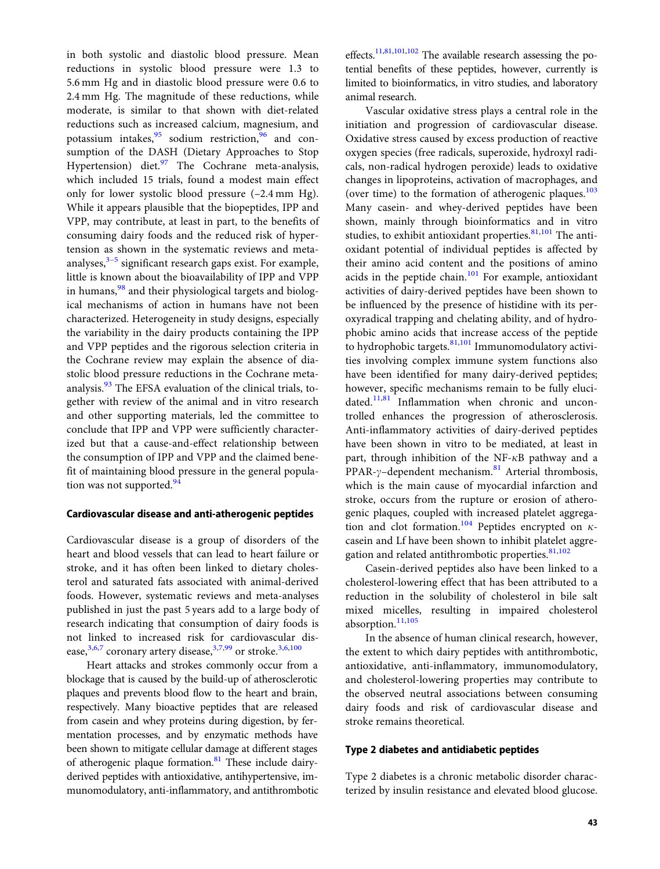in both systolic and diastolic blood pressure. Mean reductions in systolic blood pressure were 1.3 to 5.6 mm Hg and in diastolic blood pressure were 0.6 to 2.4 mm Hg. The magnitude of these reductions, while moderate, is similar to that shown with diet-related reductions such as increased calcium, magnesium, and potassium intakes, <sup>[95](#page-11-0)</sup> sodium restriction, <sup>[96](#page-11-0)</sup> and consumption of the DASH (Dietary Approaches to Stop Hypertension) diet. $\frac{97}{7}$  $\frac{97}{7}$  $\frac{97}{7}$  The Cochrane meta-analysis, which included 15 trials, found a modest main effect only for lower systolic blood pressure (–2.4 mm Hg). While it appears plausible that the biopeptides, IPP and VPP, may contribute, at least in part, to the benefits of consuming dairy foods and the reduced risk of hypertension as shown in the systematic reviews and meta-analyses,<sup>[3–5](#page-9-0)</sup> significant research gaps exist. For example, little is known about the bioavailability of IPP and VPP in humans,  $98$  and their physiological targets and biological mechanisms of action in humans have not been characterized. Heterogeneity in study designs, especially the variability in the dairy products containing the IPP and VPP peptides and the rigorous selection criteria in the Cochrane review may explain the absence of diastolic blood pressure reductions in the Cochrane meta-analysis.<sup>[93](#page-11-0)</sup> The EFSA evaluation of the clinical trials, together with review of the animal and in vitro research and other supporting materials, led the committee to conclude that IPP and VPP were sufficiently characterized but that a cause-and-effect relationship between the consumption of IPP and VPP and the claimed benefit of maintaining blood pressure in the general population was not supported. $94$ 

#### Cardiovascular disease and anti-atherogenic peptides

Cardiovascular disease is a group of disorders of the heart and blood vessels that can lead to heart failure or stroke, and it has often been linked to dietary cholesterol and saturated fats associated with animal-derived foods. However, systematic reviews and meta-analyses published in just the past 5 years add to a large body of research indicating that consumption of dairy foods is not linked to increased risk for cardiovascular dis-ease,<sup>[3,6,7](#page-9-0)</sup> coronary artery disease,<sup>[3](#page-9-0),[7](#page-9-0)[,99](#page-11-0)</sup> or stroke.<sup>[3,6](#page-9-0),[100](#page-11-0)</sup>

Heart attacks and strokes commonly occur from a blockage that is caused by the build-up of atherosclerotic plaques and prevents blood flow to the heart and brain, respectively. Many bioactive peptides that are released from casein and whey proteins during digestion, by fermentation processes, and by enzymatic methods have been shown to mitigate cellular damage at different stages of atherogenic plaque formation.<sup>[81](#page-10-0)</sup> These include dairyderived peptides with antioxidative, antihypertensive, immunomodulatory, anti-inflammatory, and antithrombotic effects.<sup>11,[81](#page-10-0)[,101,102](#page-11-0)</sup> The available research assessing the potential benefits of these peptides, however, currently is limited to bioinformatics, in vitro studies, and laboratory animal research.

Vascular oxidative stress plays a central role in the initiation and progression of cardiovascular disease. Oxidative stress caused by excess production of reactive oxygen species (free radicals, superoxide, hydroxyl radicals, non-radical hydrogen peroxide) leads to oxidative changes in lipoproteins, activation of macrophages, and (over time) to the formation of atherogenic plaques. $103$ Many casein- and whey-derived peptides have been shown, mainly through bioinformatics and in vitro studies, to exhibit antioxidant properties.<sup>[81,](#page-10-0)[101](#page-11-0)</sup> The antioxidant potential of individual peptides is affected by their amino acid content and the positions of amino acids in the peptide chain. $101$  For example, antioxidant activities of dairy-derived peptides have been shown to be influenced by the presence of histidine with its peroxyradical trapping and chelating ability, and of hydrophobic amino acids that increase access of the peptide to hydrophobic targets.<sup>[81](#page-10-0),[101](#page-11-0)</sup> Immunomodulatory activities involving complex immune system functions also have been identified for many dairy-derived peptides; however, specific mechanisms remain to be fully elucidated. $11,81$  $11,81$  Inflammation when chronic and uncontrolled enhances the progression of atherosclerosis. Anti-inflammatory activities of dairy-derived peptides have been shown in vitro to be mediated, at least in part, through inhibition of the  $NF-\kappa B$  pathway and a PPAR- $\gamma$ –dependent mechanism.<sup>[81](#page-10-0)</sup> Arterial thrombosis, which is the main cause of myocardial infarction and stroke, occurs from the rupture or erosion of atherogenic plaques, coupled with increased platelet aggrega-tion and clot formation.<sup>[104](#page-11-0)</sup> Peptides encrypted on  $\kappa$ casein and Lf have been shown to inhibit platelet aggre-gation and related antithrombotic properties.<sup>[81,](#page-10-0)[102](#page-11-0)</sup>

Casein-derived peptides also have been linked to a cholesterol-lowering effect that has been attributed to a reduction in the solubility of cholesterol in bile salt mixed micelles, resulting in impaired cholesterol absorption.<sup>[11](#page-9-0),[105](#page-11-0)</sup>

In the absence of human clinical research, however, the extent to which dairy peptides with antithrombotic, antioxidative, anti-inflammatory, immunomodulatory, and cholesterol-lowering properties may contribute to the observed neutral associations between consuming dairy foods and risk of cardiovascular disease and stroke remains theoretical.

#### Type 2 diabetes and antidiabetic peptides

Type 2 diabetes is a chronic metabolic disorder characterized by insulin resistance and elevated blood glucose.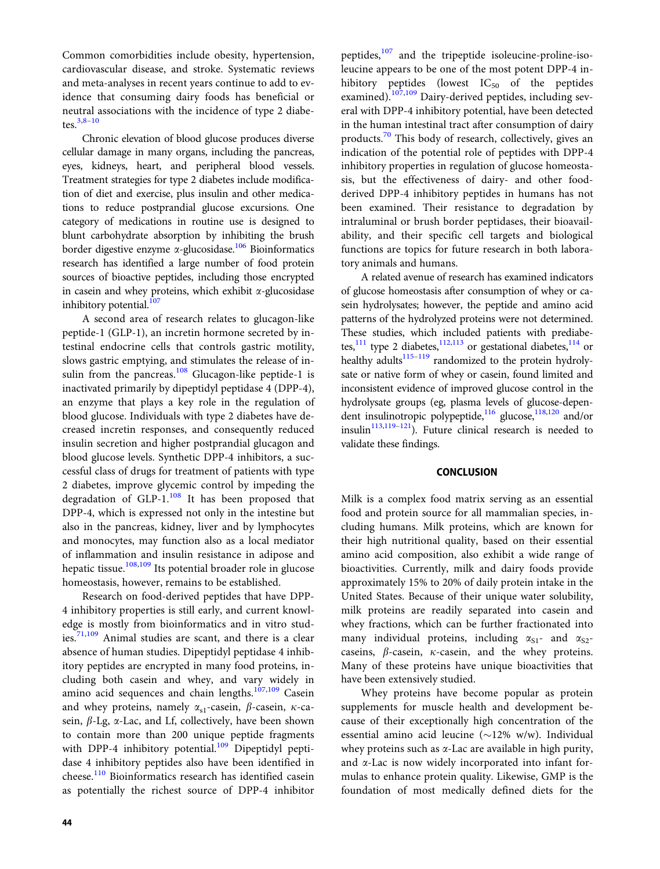Common comorbidities include obesity, hypertension, cardiovascular disease, and stroke. Systematic reviews and meta-analyses in recent years continue to add to evidence that consuming dairy foods has beneficial or neutral associations with the incidence of type 2 diabetes. $3,8-10$ 

Chronic elevation of blood glucose produces diverse cellular damage in many organs, including the pancreas, eyes, kidneys, heart, and peripheral blood vessels. Treatment strategies for type 2 diabetes include modification of diet and exercise, plus insulin and other medications to reduce postprandial glucose excursions. One category of medications in routine use is designed to blunt carbohydrate absorption by inhibiting the brush border digestive enzyme  $\alpha$ -glucosidase.<sup>106</sup> Bioinformatics research has identified a large number of food protein sources of bioactive peptides, including those encrypted in casein and whey proteins, which exhibit  $\alpha$ -glucosidase inhibitory potential.<sup>107</sup>

A second area of research relates to glucagon-like peptide-1 (GLP-1), an incretin hormone secreted by intestinal endocrine cells that controls gastric motility, slows gastric emptying, and stimulates the release of insulin from the pancreas.<sup>108</sup> Glucagon-like peptide-1 is inactivated primarily by dipeptidyl peptidase 4 (DPP-4), an enzyme that plays a key role in the regulation of blood glucose. Individuals with type 2 diabetes have decreased incretin responses, and consequently reduced insulin secretion and higher postprandial glucagon and blood glucose levels. Synthetic DPP-4 inhibitors, a successful class of drugs for treatment of patients with type 2 diabetes, improve glycemic control by impeding the degradation of GLP- $1.108$  $1.108$  It has been proposed that DPP-4, which is expressed not only in the intestine but also in the pancreas, kidney, liver and by lymphocytes and monocytes, may function also as a local mediator of inflammation and insulin resistance in adipose and hepatic tissue.<sup>[108,109](#page-11-0)</sup> Its potential broader role in glucose homeostasis, however, remains to be established.

Research on food-derived peptides that have DPP-4 inhibitory properties is still early, and current knowledge is mostly from bioinformatics and in vitro studies.[71](#page-10-0),[109](#page-11-0) Animal studies are scant, and there is a clear absence of human studies. Dipeptidyl peptidase 4 inhibitory peptides are encrypted in many food proteins, including both casein and whey, and vary widely in amino acid sequences and chain lengths.[107](#page-11-0),[109](#page-11-0) Casein and whey proteins, namely  $\alpha_{s1}$ -casein,  $\beta$ -casein,  $\kappa$ -casein,  $\beta$ -Lg,  $\alpha$ -Lac, and Lf, collectively, have been shown to contain more than 200 unique peptide fragments with DPP-4 inhibitory potential.<sup>[109](#page-11-0)</sup> Dipeptidyl peptidase 4 inhibitory peptides also have been identified in cheese.<sup>[110](#page-11-0)</sup> Bioinformatics research has identified casein as potentially the richest source of DPP-4 inhibitor

peptides,<sup>[107](#page-11-0)</sup> and the tripeptide isoleucine-proline-isoleucine appears to be one of the most potent DPP-4 inhibitory peptides (lowest  $IC_{50}$  of the peptides examined).<sup>[107,109](#page-11-0)</sup> Dairy-derived peptides, including several with DPP-4 inhibitory potential, have been detected in the human intestinal tract after consumption of dairy products.<sup>[70](#page-10-0)</sup> This body of research, collectively, gives an indication of the potential role of peptides with DPP-4 inhibitory properties in regulation of glucose homeostasis, but the effectiveness of dairy- and other foodderived DPP-4 inhibitory peptides in humans has not been examined. Their resistance to degradation by intraluminal or brush border peptidases, their bioavailability, and their specific cell targets and biological functions are topics for future research in both laboratory animals and humans.

A related avenue of research has examined indicators of glucose homeostasis after consumption of whey or casein hydrolysates; however, the peptide and amino acid patterns of the hydrolyzed proteins were not determined. These studies, which included patients with prediabe-tes,<sup>[111](#page-11-0)</sup> type 2 diabetes,<sup>112,113</sup> or gestational diabetes,<sup>114</sup> or healthy adults<sup>115–119</sup> randomized to the protein hydrolysate or native form of whey or casein, found limited and inconsistent evidence of improved glucose control in the hydrolysate groups (eg, plasma levels of glucose-depen-dent insulinotropic polypeptide,<sup>[116](#page-11-0)</sup> glucose,<sup>118,[120](#page-11-0)</sup> and/or insulin $113,119-121$  $113,119-121$  $113,119-121$  $113,119-121$  $113,119-121$ ). Future clinical research is needed to validate these findings.

#### **CONCLUSION**

Milk is a complex food matrix serving as an essential food and protein source for all mammalian species, including humans. Milk proteins, which are known for their high nutritional quality, based on their essential amino acid composition, also exhibit a wide range of bioactivities. Currently, milk and dairy foods provide approximately 15% to 20% of daily protein intake in the United States. Because of their unique water solubility, milk proteins are readily separated into casein and whey fractions, which can be further fractionated into many individual proteins, including  $\alpha_{S1}$ - and  $\alpha_{S2}$ caseins,  $\beta$ -casein,  $\kappa$ -casein, and the whey proteins. Many of these proteins have unique bioactivities that have been extensively studied.

Whey proteins have become popular as protein supplements for muscle health and development because of their exceptionally high concentration of the essential amino acid leucine  $(\sim 12\% \text{ w/w})$ . Individual whey proteins such as  $\alpha$ -Lac are available in high purity, and  $\alpha$ -Lac is now widely incorporated into infant formulas to enhance protein quality. Likewise, GMP is the foundation of most medically defined diets for the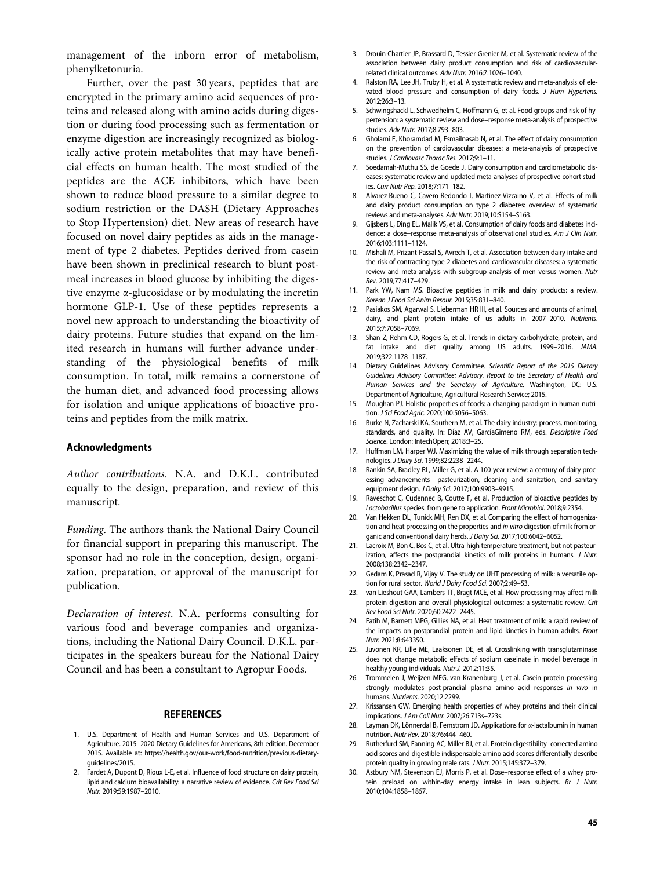<span id="page-9-0"></span>management of the inborn error of metabolism, phenylketonuria.

Further, over the past 30 years, peptides that are encrypted in the primary amino acid sequences of proteins and released along with amino acids during digestion or during food processing such as fermentation or enzyme digestion are increasingly recognized as biologically active protein metabolites that may have beneficial effects on human health. The most studied of the peptides are the ACE inhibitors, which have been shown to reduce blood pressure to a similar degree to sodium restriction or the DASH (Dietary Approaches to Stop Hypertension) diet. New areas of research have focused on novel dairy peptides as aids in the management of type 2 diabetes. Peptides derived from casein have been shown in preclinical research to blunt postmeal increases in blood glucose by inhibiting the digestive enzyme a-glucosidase or by modulating the incretin hormone GLP-1. Use of these peptides represents a novel new approach to understanding the bioactivity of dairy proteins. Future studies that expand on the limited research in humans will further advance understanding of the physiological benefits of milk consumption. In total, milk remains a cornerstone of the human diet, and advanced food processing allows for isolation and unique applications of bioactive proteins and peptides from the milk matrix.

#### Acknowledgments

Author contributions. N.A. and D.K.L. contributed equally to the design, preparation, and review of this manuscript.

Funding. The authors thank the National Dairy Council for financial support in preparing this manuscript. The sponsor had no role in the conception, design, organization, preparation, or approval of the manuscript for publication.

Declaration of interest. N.A. performs consulting for various food and beverage companies and organizations, including the National Dairy Council. D.K.L. participates in the speakers bureau for the National Dairy Council and has been a consultant to Agropur Foods.

#### **REFERENCES**

- 1. U.S. Department of Health and Human Services and U.S. Department of Agriculture. 2015–2020 Dietary Guidelines for Americans, 8th edition. December 2015. Available at: [https://health.gov/our-work/food-nutrition/previous-dietary](https://health.gov/our-work/food-nutrition/previous-dietary-guidelines/2015)[guidelines/2015.](https://health.gov/our-work/food-nutrition/previous-dietary-guidelines/2015)
- 2. Fardet A, Dupont D, Rioux L-E, et al. Influence of food structure on dairy protein, lipid and calcium bioavailability: a narrative review of evidence. Crit Rev Food Sci Nutr. 2019;59:1987–2010.
- 3. Drouin-Chartier JP, Brassard D, Tessier-Grenier M, et al. Systematic review of the association between dairy product consumption and risk of cardiovascularrelated clinical outcomes. Adv Nutr. 2016;7:1026–1040.
- 4. Ralston RA, Lee JH, Truby H, et al. A systematic review and meta-analysis of elevated blood pressure and consumption of dairy foods. J Hum Hypertens. 2012;26:3–13.
- 5. Schwingshackl L, Schwedhelm C, Hoffmann G, et al. Food groups and risk of hypertension: a systematic review and dose–response meta-analysis of prospective studies. Adv Nutr. 2017;8:793–803.
- 6. Gholami F, Khoramdad M, Esmailnasab N, et al. The effect of dairy consumption on the prevention of cardiovascular diseases: a meta-analysis of prospective studies. J Cardiovasc Thorac Res. 2017;9:1–11.
- 7. Soedamah-Muthu SS, de Goede J. Dairy consumption and cardiometabolic diseases: systematic review and updated meta-analyses of prospective cohort studies. Curr Nutr Rep. 2018;7:171–182.
- 8. Alvarez-Bueno C, Cavero-Redondo I, Martinez-Vizcaino V, et al. Effects of milk and dairy product consumption on type 2 diabetes: overview of systematic reviews and meta-analyses. Adv Nutr. 2019;10:S154–S163.
- 9. Gijsbers L, Ding EL, Malik VS, et al. Consumption of dairy foods and diabetes incidence: a dose–response meta-analysis of observational studies. Am J Clin Nutr. 2016;103:1111–1124.
- Mishali M, Prizant-Passal S, Avrech T, et al. Association between dairy intake and the risk of contracting type 2 diabetes and cardiovascular diseases: a systematic review and meta-analysis with subgroup analysis of men versus women. Nutr Rev. 2019;77:417–429.
- 11. Park YW, Nam MS. Bioactive peptides in milk and dairy products: a review. Korean J Food Sci Anim Resour. 2015;35:831–840.
- 12. Pasiakos SM, Agarwal S, Lieberman HR III, et al. Sources and amounts of animal, dairy, and plant protein intake of us adults in 2007–2010. Nutrients. 2015;7:7058–7069.
- 13. Shan Z, Rehm CD, Rogers G, et al. Trends in dietary carbohydrate, protein, and fat intake and diet quality among US adults, 1999–2016. JAMA. 2019;322:1178–1187.
- 14. Dietary Guidelines Advisory Committee. Scientific Report of the 2015 Dietary Guidelines Advisory Committee: Advisory. Report to the Secretary of Health and Human Services and the Secretary of Agriculture. Washington, DC: U.S. Department of Agriculture, Agricultural Research Service; 2015.
- 15. Moughan PJ. Holistic properties of foods: a changing paradigm in human nutrition. J Sci Food Agric. 2020;100:5056–5063.
- Burke N, Zacharski KA, Southern M, et al. The dairy industry: process, monitoring, standards, and quality. In: Díaz AV, GarcíaGimeno RM, eds. Descriptive Food Science. London: IntechOpen; 2018:3–25.
- 17. Huffman LM, Harper WJ. Maximizing the value of milk through separation technologies. J Dairy Sci. 1999;82:2238–2244.
- 18. Rankin SA, Bradley RL, Miller G, et al. A 100-year review: a century of dairy processing advancements—pasteurization, cleaning and sanitation, and sanitary equipment design. J Dairy Sci. 2017;100:9903–9915.
- 19. Raveschot C, Cudennec B, Coutte F, et al. Production of bioactive peptides by Lactobacillus species: from gene to application. Front Microbiol. 2018;9:2354.
- 20. Van Hekken DL, Tunick MH, Ren DX, et al. Comparing the effect of homogenization and heat processing on the properties and in vitro digestion of milk from organic and conventional dairy herds. J Dairy Sci. 2017;100:6042–6052.
- 21. Lacroix M, Bon C, Bos C, et al. Ultra-high temperature treatment, but not pasteurization, affects the postprandial kinetics of milk proteins in humans. J Nutr. 2008;138:2342–2347.
- 22. Gedam K, Prasad R, Vijay V. The study on UHT processing of milk: a versatile option for rural sector. World J Dairy Food Sci. 2007;2:49–53.
- 23. van Lieshout GAA, Lambers TT, Bragt MCE, et al. How processing may affect milk protein digestion and overall physiological outcomes: a systematic review. Crit Rev Food Sci Nutr. 2020;60:2422–2445.
- 24. Fatih M, Barnett MPG, Gillies NA, et al. Heat treatment of milk: a rapid review of the impacts on postprandial protein and lipid kinetics in human adults. Front Nutr. 2021;8:643350.
- 25. Juvonen KR, Lille ME, Laaksonen DE, et al. Crosslinking with transglutaminase does not change metabolic effects of sodium caseinate in model beverage in healthy young individuals. Nutr J. 2012;11:35.
- 26. Trommelen J, Weijzen MEG, van Kranenburg J, et al. Casein protein processing strongly modulates post-prandial plasma amino acid responses in vivo in humans. Nutrients. 2020;12:2299.
- 27. Krissansen GW. Emerging health properties of whey proteins and their clinical implications. J Am Coll Nutr. 2007;26:713s–723s.
- 28. Layman DK, Lönnerdal B, Fernstrom JD. Applications for  $\alpha$ -lactalbumin in human nutrition. Nutr Rev. 2018;76:444–460.
- 29. Rutherfurd SM, Fanning AC, Miller BJ, et al. Protein digestibility–corrected amino acid scores and digestible indispensable amino acid scores differentially describe protein quality in growing male rats. J Nutr. 2015;145:372–379.
- 30. Astbury NM, Stevenson EJ, Morris P, et al. Dose–response effect of a whey protein preload on within-day energy intake in lean subjects. Br J Nutr. 2010;104:1858–1867.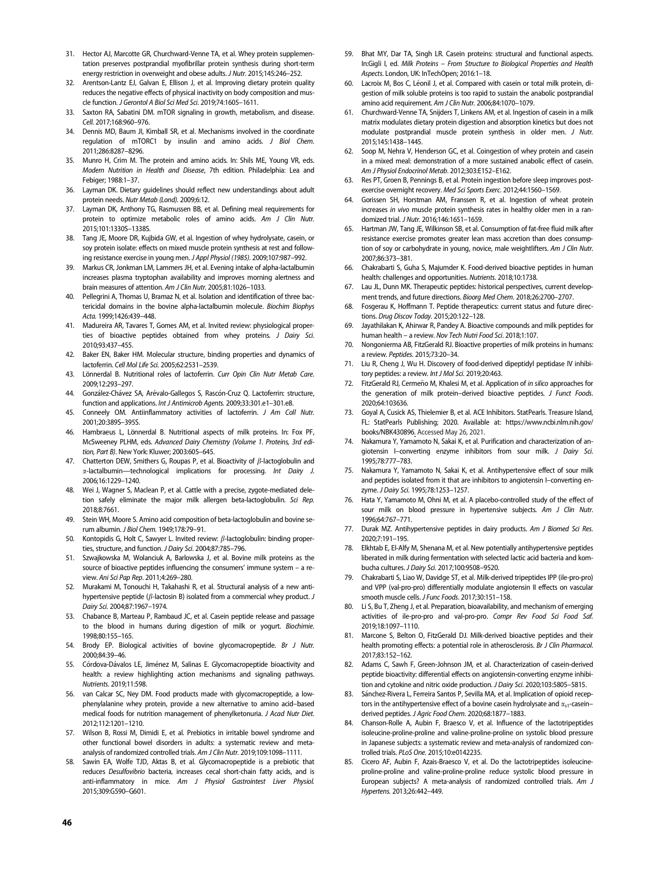- <span id="page-10-0"></span>31. Hector AJ, Marcotte GR, Churchward-Venne TA, et al. Whey protein supplementation preserves postprandial myofibrillar protein synthesis during short-term energy restriction in overweight and obese adults. J Nutr. 2015;145:246–252.
- 32. Arentson-Lantz EJ, Galvan E, Ellison J, et al. Improving dietary protein quality reduces the negative effects of physical inactivity on body composition and muscle function. J Gerontol A Biol Sci Med Sci. 2019;74:1605–1611.
- 33. Saxton RA, Sabatini DM. mTOR signaling in growth, metabolism, and disease. Cell. 2017;168:960–976.
- 34. Dennis MD, Baum JI, Kimball SR, et al. Mechanisms involved in the coordinate regulation of mTORC1 by insulin and amino acids. J Biol Chem. 2011;286:8287–8296.
- 35. Munro H, Crim M. The protein and amino acids. In: Shils ME, Young VR, eds. Modern Nutrition in Health and Disease, 7th edition. Philadelphia: Lea and Febiger; 1988:1–37.
- 36. Layman DK. Dietary guidelines should reflect new understandings about adult protein needs. Nutr Metab (Lond). 2009;6:12.
- 37. Layman DK, Anthony TG, Rasmussen BB, et al. Defining meal requirements for protein to optimize metabolic roles of amino acids. Am J Clin Nutr. 2015;101:1330S–1338S.
- 38. Tang JE, Moore DR, Kujbida GW, et al. Ingestion of whey hydrolysate, casein, or soy protein isolate: effects on mixed muscle protein synthesis at rest and following resistance exercise in young men. J Appl Physiol (1985). 2009;107:987–992.
- 39. Markus CR, Jonkman LM, Lammers JH, et al. Evening intake of alpha-lactalbumin increases plasma tryptophan availability and improves morning alertness and brain measures of attention. Am J Clin Nutr. 2005;81:1026–1033.
- 40. Pellegrini A, Thomas U, Bramaz N, et al. Isolation and identification of three bactericidal domains in the bovine alpha-lactalbumin molecule. Biochim Biophys Acta. 1999;1426:439–448.
- 41. Madureira AR, Tavares T, Gomes AM, et al. Invited review: physiological properties of bioactive peptides obtained from whey proteins. J Dairy Sci. 2010;93:437–455.
- 42. Baker EN, Baker HM. Molecular structure, binding properties and dynamics of lactoferrin. Cell Mol Life Sci. 2005;62:2531–2539.
- 43. Lönnerdal B. Nutritional roles of lactoferrin. Curr Opin Clin Nutr Metab Care. 2009;12:293–297.
- 44. González-Chávez SA, Arévalo-Gallegos S, Rascón-Cruz Q. Lactoferrin: structure, function and applications. Int J Antimicrob Agents. 2009;33:301.e1–301.e8.
- 45. Conneely OM. Antiinflammatory activities of lactoferrin. J Am Coll Nutr. 2001;20:389S–395S.
- 46. Hambraeus L, Lönnerdal B. Nutritional aspects of milk proteins. In: Fox PF, McSweeney PLHM, eds. Advanced Dairy Chemistry (Volume 1. Proteins, 3rd edition, Part B). New York: Kluwer; 2003:605–645.
- 47. Chatterton DEW, Smithers G, Roupas P, et al. Bioactivity of  $\beta$ -lactoglobulin and a-lactalbumin—technological implications for processing. Int Dairy J. 2006;16:1229–1240.
- 48. Wei J, Wagner S, Maclean P, et al. Cattle with a precise, zygote-mediated deletion safely eliminate the major milk allergen beta-lactoglobulin. Sci Rep. 2018;8:7661.
- 49. Stein WH, Moore S. Amino acid composition of beta-lactoglobulin and bovine serum albumin. J Biol Chem. 1949;178:79–91.
- 50. Kontopidis G, Holt C, Sawyer L. Invited review:  $\beta$ -lactoglobulin: binding properties, structure, and function. J Dairy Sci. 2004;87:785–796.
- 51. Szwajkowska M, Wolanciuk A, Barlowska J, et al. Bovine milk proteins as the source of bioactive peptides influencing the consumers' immune system – a review. Ani Sci Pap Rep. 2011;4:269–280.
- 52. Murakami M, Tonouchi H, Takahashi R, et al. Structural analysis of a new antihypertensive peptide ( $\beta$ -lactosin B) isolated from a commercial whey product. J Dairy Sci. 2004;87:1967–1974.
- 53. Chabance B, Marteau P, Rambaud JC, et al. Casein peptide release and passage to the blood in humans during digestion of milk or yogurt. Biochimie. 1998;80:155–165.
- 54. Brody EP. Biological activities of bovine glycomacropeptide. Br J Nutr. 2000;84:39–46.
- 55. Córdova-Dávalos LE, Jiménez M, Salinas E. Glycomacropeptide bioactivity and health: a review highlighting action mechanisms and signaling pathways. Nutrients. 2019;11:598.
- 56. van Calcar SC, Ney DM. Food products made with glycomacropeptide, a lowphenylalanine whey protein, provide a new alternative to amino acid–based medical foods for nutrition management of phenylketonuria. J Acad Nutr Diet. 2012;112:1201–1210.
- 57. Wilson B, Rossi M, Dimidi E, et al. Prebiotics in irritable bowel syndrome and other functional bowel disorders in adults: a systematic review and metaanalysis of randomized controlled trials. Am J Clin Nutr. 2019;109:1098-1111.
- Sawin EA, Wolfe TJD, Aktas B, et al. Glycomacropeptide is a prebiotic that reduces Desulfovibrio bacteria, increases cecal short-chain fatty acids, and is anti-inflammatory in mice. Am J Physiol Gastrointest Liver Physiol. 2015;309:G590–G601.
- 59. Bhat MY, Dar TA, Singh LR. Casein proteins: structural and functional aspects. In:Gigli I, ed. Milk Proteins – From Structure to Biological Properties and Health Aspects. London, UK: InTechOpen; 2016:1–18.
- 60. Lacroix M, Bos C, Léonil J, et al. Compared with casein or total milk protein, digestion of milk soluble proteins is too rapid to sustain the anabolic postprandial amino acid requirement. Am J Clin Nutr. 2006;84:1070–1079.
- 61. Churchward-Venne TA, Snijders T, Linkens AM, et al. Ingestion of casein in a milk matrix modulates dietary protein digestion and absorption kinetics but does not modulate postprandial muscle protein synthesis in older men. J Nutr. 2015;145:1438–1445.
- 62. Soop M, Nehra V, Henderson GC, et al. Coingestion of whey protein and casein in a mixed meal: demonstration of a more sustained anabolic effect of casein. Am J Physiol Endocrinol Metab. 2012;303:E152–E162.
- 63. Res PT, Groen B, Pennings B, et al. Protein ingestion before sleep improves postexercise overnight recovery. Med Sci Sports Exerc. 2012;44:1560–1569.
- 64. Gorissen SH, Horstman AM, Franssen R, et al. Ingestion of wheat protein increases in vivo muscle protein synthesis rates in healthy older men in a randomized trial. J Nutr. 2016;146:1651–1659.
- Hartman JW, Tang JE, Wilkinson SB, et al. Consumption of fat-free fluid milk after resistance exercise promotes greater lean mass accretion than does consumption of soy or carbohydrate in young, novice, male weightlifters. Am J Clin Nutr. 2007;86:373–381.
- 66. Chakrabarti S, Guha S, Majumder K. Food-derived bioactive peptides in human health: challenges and opportunities. Nutrients. 2018;10:1738.
- 67. Lau JL, Dunn MK. Therapeutic peptides: historical perspectives, current development trends, and future directions. Bioorg Med Chem. 2018;26:2700–2707.
- 68. Fosgerau K, Hoffmann T. Peptide therapeutics: current status and future directions. Drug Discov Today. 2015;20:122–128.
- 69. Jayathilakan K, Ahirwar R, Pandey A. Bioactive compounds and milk peptides for human health – a review. Nov Tech Nutri Food Sci. 2018;1:107.
- 70. Nongonierma AB, FitzGerald RJ. Bioactive properties of milk proteins in humans: a review. Peptides. 2015;73:20–34.
- Liu R, Cheng J, Wu H. Discovery of food-derived dipeptidyl peptidase IV inhibitory peptides: a review. Int J Mol Sci. 2019;20:463.
- 72. FitzGerald RJ, Cermeño M, Khalesi M, et al. Application of in silico approaches for the generation of milk protein-derived bioactive peptides. J Funct Foods. 2020;64:103636.
- 73. Goyal A, Cusick AS, Thielemier B, et al. ACE Inhibitors. StatPearls. Treasure Island, FL: StatPearls Publishing; 2020. Available at: [https://www.ncbi.nlm.nih.gov/](https://www.ncbi.nlm.nih.gov/books/NBK430896) [books/NBK430896.](https://www.ncbi.nlm.nih.gov/books/NBK430896) Accessed May 26, 2021.
- 74. Nakamura Y, Yamamoto N, Sakai K, et al. Purification and characterization of angiotensin I-converting enzyme inhibitors from sour milk. J Dairy Sci. 1995;78:777–783.
- 75. Nakamura Y, Yamamoto N, Sakai K, et al. Antihypertensive effect of sour milk and peptides isolated from it that are inhibitors to angiotensin I–converting enzyme. J Dairy Sci. 1995;78:1253–1257.
- 76. Hata Y, Yamamoto M, Ohni M, et al. A placebo-controlled study of the effect of sour milk on blood pressure in hypertensive subjects. Am J Clin Nutr. 1996;64:767–771.
- 77. Durak MZ. Antihypertensive peptides in dairy products. Am J Biomed Sci Res. 2020;7:191–195.
- 78. Elkhtab E, El-Alfy M, Shenana M, et al. New potentially antihypertensive peptides liberated in milk during fermentation with selected lactic acid bacteria and kombucha cultures. J Dairy Sci. 2017;100:9508–9520.
- 79. Chakrabarti S, Liao W, Davidge ST, et al. Milk-derived tripeptides IPP (ile-pro-pro) and VPP (val-pro-pro) differentially modulate angiotensin II effects on vascular smooth muscle cells. J Func Foods. 2017;30:151–158.
- 80. Li S, Bu T, Zheng J, et al. Preparation, bioavailability, and mechanism of emerging activities of ile-pro-pro and val-pro-pro. Compr Rev Food Sci Food Saf. 2019;18:1097–1110.
- 81. Marcone S, Belton O, FitzGerald DJ. Milk-derived bioactive peptides and their health promoting effects: a potential role in atherosclerosis. Br J Clin Pharmacol. 2017;83:152–162.
- 82. Adams C, Sawh F, Green-Johnson JM, et al. Characterization of casein-derived peptide bioactivity: differential effects on angiotensin-converting enzyme inhibition and cytokine and nitric oxide production. *J Dairy Sci.* 2020:103:5805-5815.
- 83. Sánchez-Rivera L, Ferreira Santos P, Sevilla MA, et al. Implication of opioid receptors in the antihypertensive effect of a bovine casein hydrolysate and  $\alpha_{s1}$ -casein– derived peptides. J Agric Food Chem. 2020;68:1877–1883.
- 84. Chanson-Rolle A, Aubin F, Braesco V, et al. Influence of the lactotripeptides isoleucine-proline-proline and valine-proline-proline on systolic blood pressure in Japanese subjects: a systematic review and meta-analysis of randomized controlled trials. PLoS One. 2015;10:e0142235.
- 85. Cicero AF, Aubin F, Azais-Braesco V, et al. Do the lactotripeptides isoleucineproline-proline and valine-proline-proline reduce systolic blood pressure in European subjects? A meta-analysis of randomized controlled trials. Am J Hypertens. 2013;26:442–449.